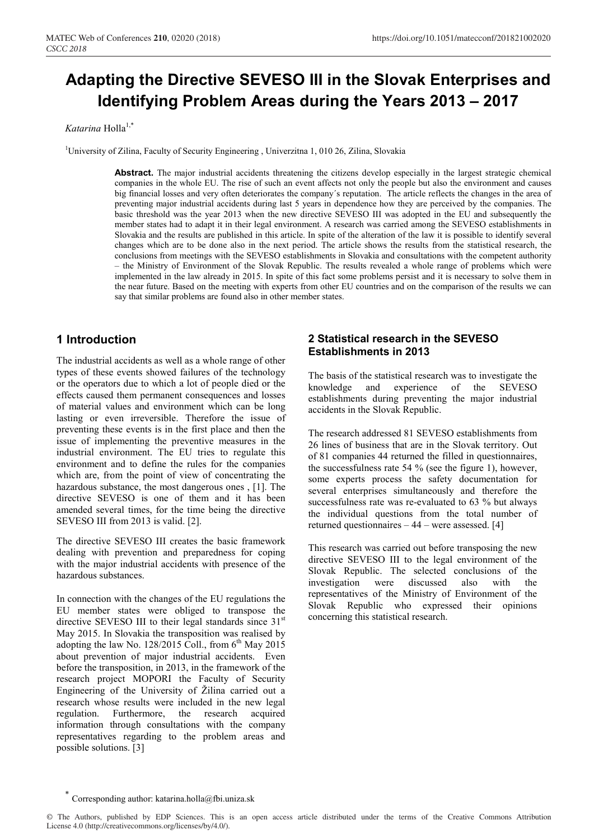# **Adapting the Directive SEVESO III in the Slovak Enterprises and Identifying Problem Areas during the Years 2013 – 2017**

## *Katarina* Holla<sup>1,\*</sup>

<sup>1</sup>University of Zilina, Faculty of Security Engineering, Univerzitna 1, 010 26, Zilina, Slovakia

**Abstract.** The major industrial accidents threatening the citizens develop especially in the largest strategic chemical companies in the whole EU. The rise of such an event affects not only the people but also the environment and causes big financial losses and very often deteriorates the company's reputation. The article reflects the changes in the area of preventing major industrial accidents during last 5 years in dependence how they are perceived by the companies. The basic threshold was the year 2013 when the new directive SEVESO III was adopted in the EU and subsequently the member states had to adapt it in their legal environment. A research was carried among the SEVESO establishments in Slovakia and the results are published in this article. In spite of the alteration of the law it is possible to identify several changes which are to be done also in the next period. The article shows the results from the statistical research, the conclusions from meetings with the SEVESO establishments in Slovakia and consultations with the competent authority – the Ministry of Environment of the Slovak Republic. The results revealed a whole range of problems which were implemented in the law already in 2015. In spite of this fact some problems persist and it is necessary to solve them in the near future. Based on the meeting with experts from other EU countries and on the comparison of the results we can say that similar problems are found also in other member states.

# **1 Introduction**

The industrial accidents as well as a whole range of other types of these events showed failures of the technology or the operators due to which a lot of people died or the effects caused them permanent consequences and losses of material values and environment which can be long lasting or even irreversible. Therefore the issue of preventing these events is in the first place and then the issue of implementing the preventive measures in the industrial environment. The EU tries to regulate this environment and to define the rules for the companies which are, from the point of view of concentrating the hazardous substance, the most dangerous ones , [1]. The directive SEVESO is one of them and it has been amended several times, for the time being the directive SEVESO III from 2013 is valid. [2].

The directive SEVESO III creates the basic framework dealing with prevention and preparedness for coping with the major industrial accidents with presence of the hazardous substances.

In connection with the changes of the EU regulations the EU member states were obliged to transpose the directive SEVESO III to their legal standards since  $31<sup>st</sup>$ May 2015. In Slovakia the transposition was realised by adopting the law No. 128/2015 Coll., from  $6<sup>th</sup>$  May 2015 about prevention of major industrial accidents. Even before the transposition, in 2013, in the framework of the research project MOPORI the Faculty of Security Engineering of the University of Žilina carried out a research whose results were included in the new legal regulation. Furthermore, the research acquired information through consultations with the company representatives regarding to the problem areas and possible solutions. [3]

## **2 Statistical research in the SEVESO Establishments in 2013**

The basis of the statistical research was to investigate the knowledge and experience of the SEVESO establishments during preventing the major industrial accidents in the Slovak Republic.

The research addressed 81 SEVESO establishments from 26 lines of business that are in the Slovak territory. Out of 81 companies 44 returned the filled in questionnaires, the successfulness rate 54 % (see the figure 1), however, some experts process the safety documentation for several enterprises simultaneously and therefore the successfulness rate was re-evaluated to 63 % but always the individual questions from the total number of returned questionnaires – 44 – were assessed. [4]

This research was carried out before transposing the new directive SEVESO III to the legal environment of the Slovak Republic. The selected conclusions of the investigation were discussed also with the representatives of the Ministry of Environment of the Slovak Republic who expressed their opinions concerning this statistical research.

Corresponding author: katarina.holla@fbi.uniza.sk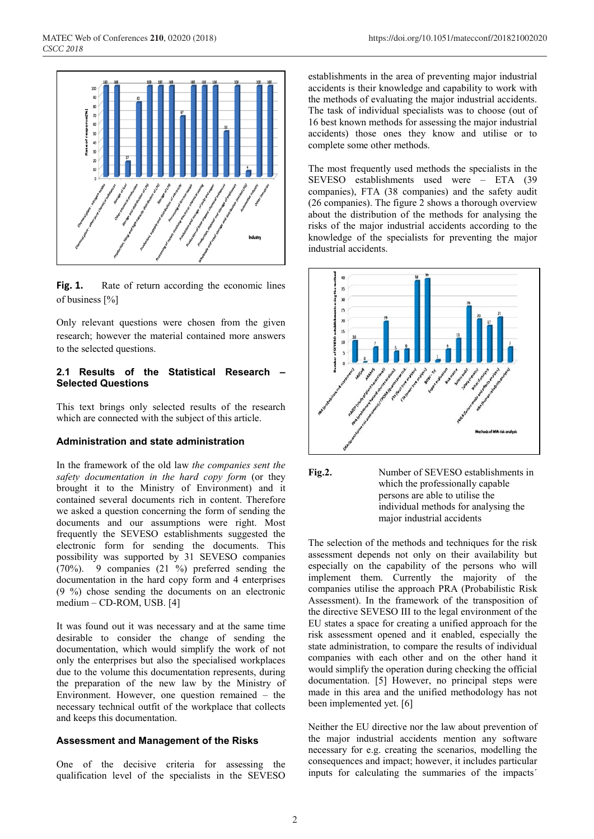

Fig. 1. Rate of return according the economic lines of business [%]

Only relevant questions were chosen from the given research; however the material contained more answers to the selected questions.

#### **2.1 Results of the Statistical Research – Selected Questions**

This text brings only selected results of the research which are connected with the subject of this article.

### **Administration and state administration**

In the framework of the old law *the companies sent the safety documentation in the hard copy form* (or they brought it to the Ministry of Environment) and it contained several documents rich in content. Therefore we asked a question concerning the form of sending the documents and our assumptions were right. Most frequently the SEVESO establishments suggested the electronic form for sending the documents. This possibility was supported by 31 SEVESO companies (70%). 9 companies (21 %) preferred sending the documentation in the hard copy form and 4 enterprises (9 %) chose sending the documents on an electronic medium – CD-ROM, USB. [4]

It was found out it was necessary and at the same time desirable to consider the change of sending the documentation, which would simplify the work of not only the enterprises but also the specialised workplaces due to the volume this documentation represents, during the preparation of the new law by the Ministry of Environment. However, one question remained – the necessary technical outfit of the workplace that collects and keeps this documentation.

#### **Assessment and Management of the Risks**

One of the decisive criteria for assessing the qualification level of the specialists in the SEVESO

establishments in the area of preventing major industrial accidents is their knowledge and capability to work with the methods of evaluating the major industrial accidents. The task of individual specialists was to choose (out of 16 best known methods for assessing the major industrial accidents) those ones they know and utilise or to complete some other methods.

The most frequently used methods the specialists in the SEVESO establishments used were – ETA (39 companies), FTA (38 companies) and the safety audit (26 companies). The figure 2 shows a thorough overview about the distribution of the methods for analysing the risks of the major industrial accidents according to the knowledge of the specialists for preventing the major industrial accidents.





The selection of the methods and techniques for the risk assessment depends not only on their availability but especially on the capability of the persons who will implement them. Currently the majority of the companies utilise the approach PRA (Probabilistic Risk Assessment). In the framework of the transposition of the directive SEVESO III to the legal environment of the EU states a space for creating a unified approach for the risk assessment opened and it enabled, especially the state administration, to compare the results of individual companies with each other and on the other hand it would simplify the operation during checking the official documentation. [5] However, no principal steps were made in this area and the unified methodology has not been implemented yet. [6]

Neither the EU directive nor the law about prevention of the major industrial accidents mention any software necessary for e.g. creating the scenarios, modelling the consequences and impact; however, it includes particular inputs for calculating the summaries of the impacts´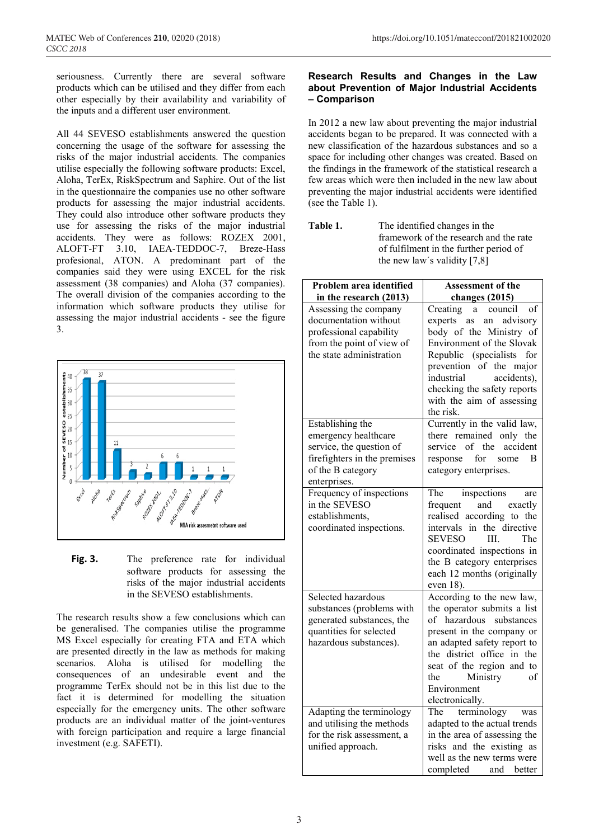seriousness. Currently there are several software products which can be utilised and they differ from each other especially by their availability and variability of the inputs and a different user environment.

All 44 SEVESO establishments answered the question concerning the usage of the software for assessing the risks of the major industrial accidents. The companies utilise especially the following software products: Excel, Aloha, TerEx, RiskSpectrum and Saphire. Out of the list in the questionnaire the companies use no other software products for assessing the major industrial accidents. They could also introduce other software products they use for assessing the risks of the major industrial accidents. They were as follows: ROZEX 2001, ALOFT-FT 3.10, IAEA-TEDDOC-7, Breze-Hass profesional, ATON. A predominant part of the companies said they were using EXCEL for the risk assessment (38 companies) and Aloha (37 companies). The overall division of the companies according to the information which software products they utilise for assessing the major industrial accidents - see the figure 3.



**Fig. 3.** The preference rate for individual software products for assessing the risks of the major industrial accidents in the SEVESO establishments.

The research results show a few conclusions which can be generalised. The companies utilise the programme MS Excel especially for creating FTA and ETA which are presented directly in the law as methods for making scenarios. Aloha is utilised for modelling the consequences of an undesirable event and the programme TerEx should not be in this list due to the fact it is determined for modelling the situation especially for the emergency units. The other software products are an individual matter of the joint-ventures with foreign participation and require a large financial investment (e.g. SAFETI).

## **Research Results and Changes in the Law about Prevention of Major Industrial Accidents – Comparison**

In 2012 a new law about preventing the major industrial accidents began to be prepared. It was connected with a new classification of the hazardous substances and so a space for including other changes was created. Based on the findings in the framework of the statistical research a few areas which were then included in the new law about preventing the major industrial accidents were identified (see the Table 1).

**Table 1.** The identified changes in the framework of the research and the rate of fulfilment in the further period of the new law´s validity [7,8]

| Problem area identified                               | <b>Assessment of the</b>                               |
|-------------------------------------------------------|--------------------------------------------------------|
| in the research (2013)                                | changes (2015)                                         |
| Assessing the company                                 | Creating<br>council<br>of<br>a a                       |
| documentation without                                 | experts as<br>advisory<br>an                           |
| professional capability                               | body of the Ministry of                                |
| from the point of view of                             | Environment of the Slovak                              |
| the state administration                              | Republic (specialists<br>for                           |
|                                                       | prevention of the major                                |
|                                                       | industrial<br>accidents),                              |
|                                                       | checking the safety reports                            |
|                                                       | with the aim of assessing                              |
|                                                       | the risk.                                              |
| Establishing the                                      | Currently in the valid law,                            |
| emergency healthcare                                  | there remained only the                                |
| service, the question of                              | accident<br>service of the                             |
| firefighters in the premises                          | response for<br>B<br>some                              |
| of the B category<br>enterprises.                     | category enterprises.                                  |
| Frequency of inspections                              | The<br>are                                             |
| in the SEVESO                                         | inspections<br>frequent and exactly                    |
| establishments,                                       | realised according to the                              |
| coordinated inspections.                              | intervals<br>in the directive                          |
|                                                       | <b>SEVESO</b><br>The<br>HL.                            |
|                                                       | coordinated inspections in                             |
|                                                       | the B category enterprises                             |
|                                                       | each 12 months (originally                             |
|                                                       | even 18).                                              |
| Selected hazardous                                    | According to the new law,                              |
| substances (problems with                             | the operator submits a list                            |
| generated substances, the                             | of hazardous substances                                |
| quantities for selected                               | present in the company or                              |
| hazardous substances).                                | an adapted safety report to                            |
|                                                       | the district office in the                             |
|                                                       | seat of the region and to                              |
|                                                       | Ministry<br>of<br>the                                  |
|                                                       | Environment                                            |
|                                                       | electronically.                                        |
| Adapting the terminology<br>and utilising the methods | The terminology<br>was<br>adapted to the actual trends |
| for the risk assessment, a                            | in the area of assessing the                           |
| unified approach.                                     | risks and the existing as                              |
|                                                       | well as the new terms were                             |
|                                                       | completed and better                                   |
|                                                       |                                                        |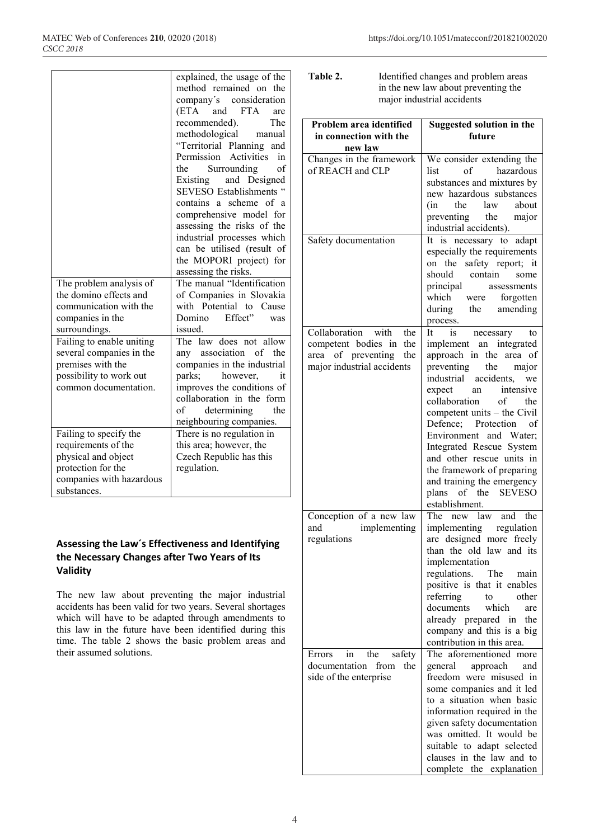|                           | explained, the usage of the      |
|---------------------------|----------------------------------|
|                           | method remained on<br>the        |
|                           | company's consideration          |
|                           | (ETA<br><b>FTA</b><br>and<br>are |
|                           | recommended).<br>The             |
|                           | methodological<br>manual         |
|                           | "Territorial Planning<br>and     |
|                           | Permission Activities<br>in      |
|                           | Surrounding<br>the<br>of         |
|                           | and Designed<br>Existing         |
|                           | <b>SEVESO</b> Establishments     |
|                           | contains a scheme<br>of a        |
|                           | comprehensive model for          |
|                           | assessing the risks of the       |
|                           | industrial processes which       |
|                           | can be utilised (result of       |
|                           | the MOPORI project) for          |
|                           | assessing the risks.             |
| The problem analysis of   | The manual "Identification       |
| the domino effects and    | of Companies in Slovakia         |
| communication with the    | with Potential to<br>Cause       |
| companies in the          | Effect"<br>Domino<br>was         |
| surroundings.             | issued.                          |
| Failing to enable uniting | The law does not allow           |
| several companies in the  | any association of the           |
| premises with the         | companies in the industrial      |
| possibility to work out   | parks;<br>however,<br>it         |
| common documentation.     | improves the conditions of       |
|                           | collaboration in the form        |
|                           | determining<br>the<br>of         |
|                           | neighbouring companies.          |
| Failing to specify the    | There is no regulation in        |
| requirements of the       | this area; however, the          |
| physical and object       | Czech Republic has this          |
| protection for the        | regulation.                      |
| companies with hazardous  |                                  |
| substances.               |                                  |

## **Assessing the Law´s Effectiveness and Identifying the Necessary Changes after Two Years of Its Validity**

The new law about preventing the major industrial accidents has been valid for two years. Several shortages which will have to be adapted through amendments to this law in the future have been identified during this time. The table 2 shows the basic problem areas and their assumed solutions.

| Table 2. | Identified changes and problem areas |
|----------|--------------------------------------|
|          | in the new law about preventing the  |
|          | major industrial accidents           |

| Problem area identified            | <b>Suggested solution in the</b>                          |
|------------------------------------|-----------------------------------------------------------|
| in connection with the<br>new law  | future                                                    |
| Changes in the framework           | We consider extending the                                 |
| of REACH and CLP                   | hazardous<br>list<br>of<br>substances and mixtures by     |
|                                    | new hazardous substances                                  |
|                                    | the<br>law<br>(in<br>about                                |
|                                    | preventing<br>the major                                   |
|                                    | industrial accidents).                                    |
| Safety documentation               | It is necessary to adapt                                  |
|                                    | especially the requirements                               |
|                                    | safety report; it<br>on the<br>should contain             |
|                                    | some<br>principal<br>assessments                          |
|                                    | which were forgotten                                      |
|                                    | during the amending                                       |
|                                    | process.                                                  |
| Collaboration<br>with<br>the       | $\frac{1}{1}$<br>necessary<br>It<br>to                    |
| competent bodies in<br>the         | implement an integrated                                   |
| area of preventing<br>the          | approach in the<br>area of                                |
| major industrial accidents         | preventing<br>the<br>major<br>industrial accidents,<br>we |
|                                    | expect<br>intensive<br>an                                 |
|                                    | collaboration<br>of<br>the                                |
|                                    | competent units - the Civil                               |
|                                    | Defence; Protection<br>of                                 |
|                                    | Environment and Water;                                    |
|                                    | Integrated Rescue System<br>and other rescue units in     |
|                                    | the framework of preparing                                |
|                                    | and training the emergency                                |
|                                    | plans of the<br><b>SEVESO</b>                             |
|                                    | establishment.                                            |
| Conception of a new law            | The new law and the                                       |
| and<br>implementing<br>regulations | implementing regulation<br>are designed more freely       |
|                                    | than the old law and its                                  |
|                                    | implementation                                            |
|                                    | regulations.<br>The main                                  |
|                                    | positive is that it enables                               |
|                                    | referring<br>to<br>other                                  |
|                                    | documents<br>which<br>are<br>the                          |
|                                    | already prepared in<br>company and this is a big          |
|                                    | contribution in this area.                                |
| the<br>safety<br>Errors<br>1n      | The aforementioned<br>more                                |
| documentation<br>from<br>the       | general<br>approach<br>and                                |
| side of the enterprise             | freedom were misused in                                   |
|                                    | some companies and it led                                 |
|                                    | to a situation when basic<br>information required in the  |
|                                    | given safety documentation                                |
|                                    | was omitted. It would be                                  |
|                                    | suitable to adapt selected                                |
|                                    | clauses in the law and to                                 |
|                                    | complete the explanation                                  |